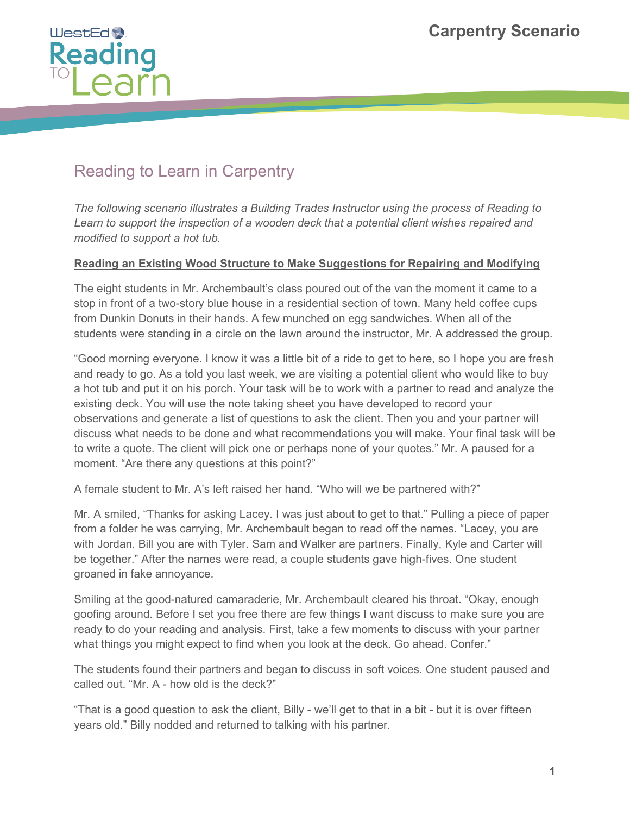

## Reading to Learn in Carpentry

*The following scenario illustrates a Building Trades Instructor using the process of Reading to Learn to support the inspection of a wooden deck that a potential client wishes repaired and modified to support a hot tub.* 

## **Reading an Existing Wood Structure to Make Suggestions for Repairing and Modifying**

The eight students in Mr. Archembault's class poured out of the van the moment it came to a stop in front of a two-story blue house in a residential section of town. Many held coffee cups from Dunkin Donuts in their hands. A few munched on egg sandwiches. When all of the students were standing in a circle on the lawn around the instructor, Mr. A addressed the group.

"Good morning everyone. I know it was a little bit of a ride to get to here, so I hope you are fresh and ready to go. As a told you last week, we are visiting a potential client who would like to buy a hot tub and put it on his porch. Your task will be to work with a partner to read and analyze the existing deck. You will use the note taking sheet you have developed to record your observations and generate a list of questions to ask the client. Then you and your partner will discuss what needs to be done and what recommendations you will make. Your final task will be to write a quote. The client will pick one or perhaps none of your quotes." Mr. A paused for a moment. "Are there any questions at this point?"

A female student to Mr. A's left raised her hand. "Who will we be partnered with?"

Mr. A smiled, "Thanks for asking Lacey. I was just about to get to that." Pulling a piece of paper from a folder he was carrying, Mr. Archembault began to read off the names. "Lacey, you are with Jordan. Bill you are with Tyler. Sam and Walker are partners. Finally, Kyle and Carter will be together." After the names were read, a couple students gave high-fives. One student groaned in fake annoyance.

Smiling at the good-natured camaraderie, Mr. Archembault cleared his throat. "Okay, enough goofing around. Before I set you free there are few things I want discuss to make sure you are ready to do your reading and analysis. First, take a few moments to discuss with your partner what things you might expect to find when you look at the deck. Go ahead. Confer."

The students found their partners and began to discuss in soft voices. One student paused and called out. "Mr. A - how old is the deck?"

"That is a good question to ask the client, Billy - we'll get to that in a bit - but it is over fifteen years old." Billy nodded and returned to talking with his partner.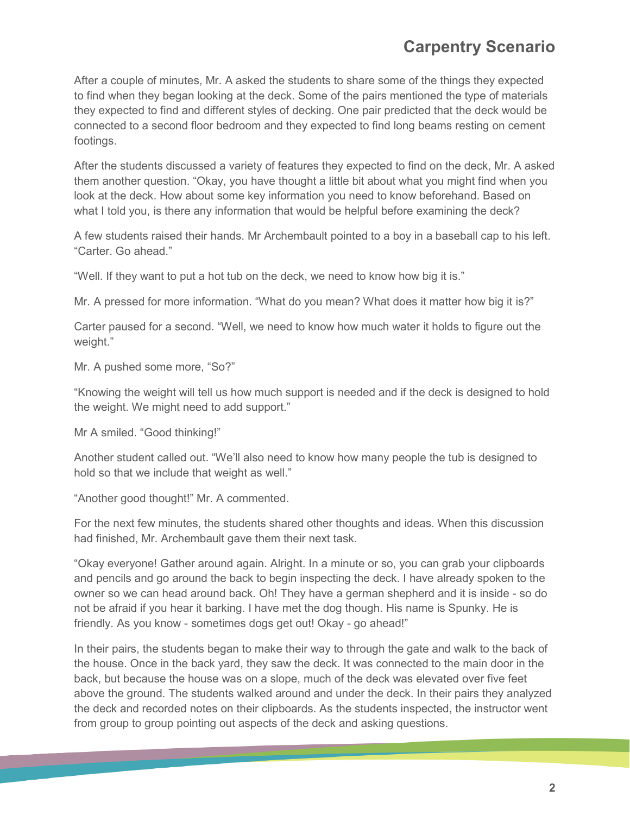## **Carpentry Scenario**

After a couple of minutes, Mr. A asked the students to share some of the things they expected to find when they began looking at the deck. Some of the pairs mentioned the type of materials they expected to find and different styles of decking. One pair predicted that the deck would be connected to a second floor bedroom and they expected to find long beams resting on cement footings.

After the students discussed a variety of features they expected to find on the deck, Mr. A asked them another question. "Okay, you have thought a little bit about what you might find when you look at the deck. How about some key information you need to know beforehand. Based on what I told you, is there any information that would be helpful before examining the deck?

A few students raised their hands. Mr Archembault pointed to a boy in a baseball cap to his left. "Carter. Go ahead."

"Well. If they want to put a hot tub on the deck, we need to know how big it is."

Mr. A pressed for more information. "What do you mean? What does it matter how big it is?"

Carter paused for a second. "Well, we need to know how much water it holds to figure out the weight."

Mr. A pushed some more, "So?"

"Knowing the weight will tell us how much support is needed and if the deck is designed to hold the weight. We might need to add support."

Mr A smiled. "Good thinking!"

Another student called out. "We'll also need to know how many people the tub is designed to hold so that we include that weight as well."

"Another good thought!" Mr. A commented.

For the next few minutes, the students shared other thoughts and ideas. When this discussion had finished, Mr. Archembault gave them their next task.

"Okay everyone! Gather around again. Alright. In a minute or so, you can grab your clipboards and pencils and go around the back to begin inspecting the deck. I have already spoken to the owner so we can head around back. Oh! They have a german shepherd and it is inside - so do not be afraid if you hear it barking. I have met the dog though. His name is Spunky. He is friendly. As you know - sometimes dogs get out! Okay - go ahead!"

In their pairs, the students began to make their way to through the gate and walk to the back of the house. Once in the back yard, they saw the deck. It was connected to the main door in the back, but because the house was on a slope, much of the deck was elevated over five feet above the ground. The students walked around and under the deck. In their pairs they analyzed the deck and recorded notes on their clipboards. As the students inspected, the instructor went from group to group pointing out aspects of the deck and asking questions.